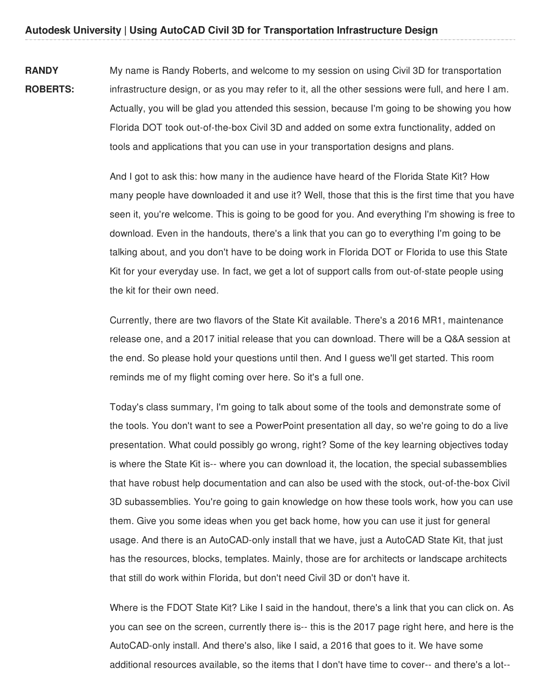**RANDY ROBERTS:** My name is Randy Roberts, and welcome to my session on using Civil 3D for transportation infrastructure design, or as you may refer to it, all the other sessions were full, and here I am. Actually, you will be glad you attended this session, because I'm going to be showing you how Florida DOT took out-of-the-box Civil 3D and added on some extra functionality, added on tools and applications that you can use in your transportation designs and plans.

> And I got to ask this: how many in the audience have heard of the Florida State Kit? How many people have downloaded it and use it? Well, those that this is the first time that you have seen it, you're welcome. This is going to be good for you. And everything I'm showing is free to download. Even in the handouts, there's a link that you can go to everything I'm going to be talking about, and you don't have to be doing work in Florida DOT or Florida to use this State Kit for your everyday use. In fact, we get a lot of support calls from out-of-state people using the kit for their own need.

> Currently, there are two flavors of the State Kit available. There's a 2016 MR1, maintenance release one, and a 2017 initial release that you can download. There will be a Q&A session at the end. So please hold your questions until then. And I guess we'll get started. This room reminds me of my flight coming over here. So it's a full one.

> Today's class summary, I'm going to talk about some of the tools and demonstrate some of the tools. You don't want to see a PowerPoint presentation all day, so we're going to do a live presentation. What could possibly go wrong, right? Some of the key learning objectives today is where the State Kit is-- where you can download it, the location, the special subassemblies that have robust help documentation and can also be used with the stock, out-of-the-box Civil 3D subassemblies. You're going to gain knowledge on how these tools work, how you can use them. Give you some ideas when you get back home, how you can use it just for general usage. And there is an AutoCAD-only install that we have, just a AutoCAD State Kit, that just has the resources, blocks, templates. Mainly, those are for architects or landscape architects that still do work within Florida, but don't need Civil 3D or don't have it.

> Where is the FDOT State Kit? Like I said in the handout, there's a link that you can click on. As you can see on the screen, currently there is-- this is the 2017 page right here, and here is the AutoCAD-only install. And there's also, like I said, a 2016 that goes to it. We have some additional resources available, so the items that I don't have time to cover-- and there's a lot--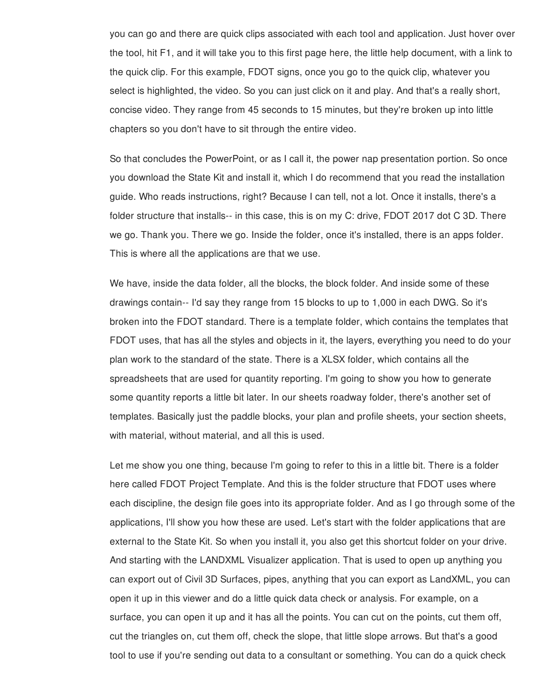you can go and there are quick clips associated with each tool and application. Just hover over the tool, hit F1, and it will take you to this first page here, the little help document, with a link to the quick clip. For this example, FDOT signs, once you go to the quick clip, whatever you select is highlighted, the video. So you can just click on it and play. And that's a really short, concise video. They range from 45 seconds to 15 minutes, but they're broken up into little chapters so you don't have to sit through the entire video.

So that concludes the PowerPoint, or as I call it, the power nap presentation portion. So once you download the State Kit and install it, which I do recommend that you read the installation guide. Who reads instructions, right? Because I can tell, not a lot. Once it installs, there's a folder structure that installs-- in this case, this is on my C: drive, FDOT 2017 dot C 3D. There we go. Thank you. There we go. Inside the folder, once it's installed, there is an apps folder. This is where all the applications are that we use.

We have, inside the data folder, all the blocks, the block folder. And inside some of these drawings contain-- I'd say they range from 15 blocks to up to 1,000 in each DWG. So it's broken into the FDOT standard. There is a template folder, which contains the templates that FDOT uses, that has all the styles and objects in it, the layers, everything you need to do your plan work to the standard of the state. There is a XLSX folder, which contains all the spreadsheets that are used for quantity reporting. I'm going to show you how to generate some quantity reports a little bit later. In our sheets roadway folder, there's another set of templates. Basically just the paddle blocks, your plan and profile sheets, your section sheets, with material, without material, and all this is used.

Let me show you one thing, because I'm going to refer to this in a little bit. There is a folder here called FDOT Project Template. And this is the folder structure that FDOT uses where each discipline, the design file goes into its appropriate folder. And as I go through some of the applications, I'll show you how these are used. Let's start with the folder applications that are external to the State Kit. So when you install it, you also get this shortcut folder on your drive. And starting with the LANDXML Visualizer application. That is used to open up anything you can export out of Civil 3D Surfaces, pipes, anything that you can export as LandXML, you can open it up in this viewer and do a little quick data check or analysis. For example, on a surface, you can open it up and it has all the points. You can cut on the points, cut them off, cut the triangles on, cut them off, check the slope, that little slope arrows. But that's a good tool to use if you're sending out data to a consultant or something. You can do a quick check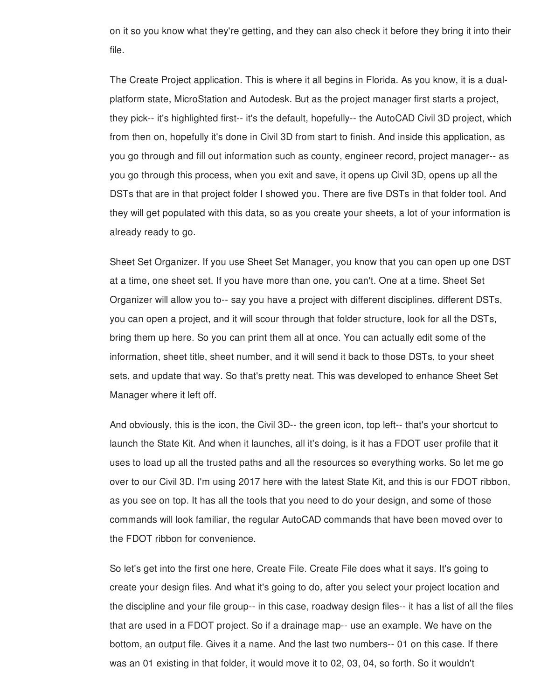on it so you know what they're getting, and they can also check it before they bring it into their file.

The Create Project application. This is where it all begins in Florida. As you know, it is a dualplatform state, MicroStation and Autodesk. But as the project manager first starts a project, they pick-- it's highlighted first-- it's the default, hopefully-- the AutoCAD Civil 3D project, which from then on, hopefully it's done in Civil 3D from start to finish. And inside this application, as you go through and fill out information such as county, engineer record, project manager-- as you go through this process, when you exit and save, it opens up Civil 3D, opens up all the DSTs that are in that project folder I showed you. There are five DSTs in that folder tool. And they will get populated with this data, so as you create your sheets, a lot of your information is already ready to go.

Sheet Set Organizer. If you use Sheet Set Manager, you know that you can open up one DST at a time, one sheet set. If you have more than one, you can't. One at a time. Sheet Set Organizer will allow you to-- say you have a project with different disciplines, different DSTs, you can open a project, and it will scour through that folder structure, look for all the DSTs, bring them up here. So you can print them all at once. You can actually edit some of the information, sheet title, sheet number, and it will send it back to those DSTs, to your sheet sets, and update that way. So that's pretty neat. This was developed to enhance Sheet Set Manager where it left off.

And obviously, this is the icon, the Civil 3D-- the green icon, top left-- that's your shortcut to launch the State Kit. And when it launches, all it's doing, is it has a FDOT user profile that it uses to load up all the trusted paths and all the resources so everything works. So let me go over to our Civil 3D. I'm using 2017 here with the latest State Kit, and this is our FDOT ribbon, as you see on top. It has all the tools that you need to do your design, and some of those commands will look familiar, the regular AutoCAD commands that have been moved over to the FDOT ribbon for convenience.

So let's get into the first one here, Create File. Create File does what it says. It's going to create your design files. And what it's going to do, after you select your project location and the discipline and your file group-- in this case, roadway design files-- it has a list of all the files that are used in a FDOT project. So if a drainage map-- use an example. We have on the bottom, an output file. Gives it a name. And the last two numbers-- 01 on this case. If there was an 01 existing in that folder, it would move it to 02, 03, 04, so forth. So it wouldn't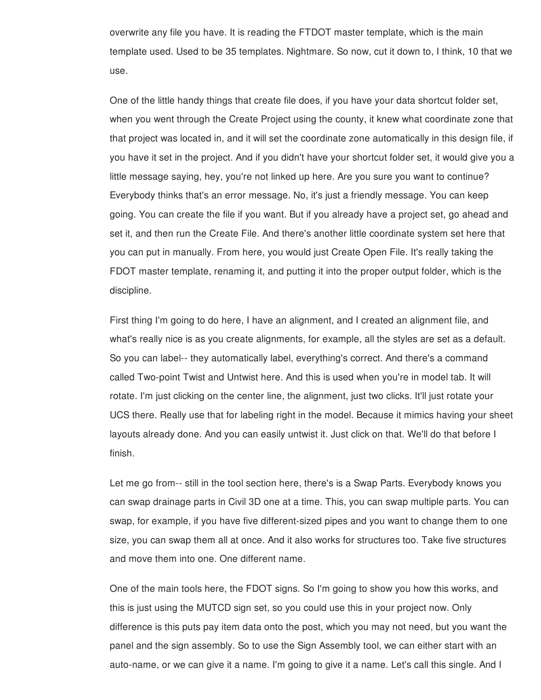overwrite any file you have. It is reading the FTDOT master template, which is the main template used. Used to be 35 templates. Nightmare. So now, cut it down to, I think, 10 that we use.

One of the little handy things that create file does, if you have your data shortcut folder set, when you went through the Create Project using the county, it knew what coordinate zone that that project was located in, and it will set the coordinate zone automatically in this design file, if you have it set in the project. And if you didn't have your shortcut folder set, it would give you a little message saying, hey, you're not linked up here. Are you sure you want to continue? Everybody thinks that's an error message. No, it's just a friendly message. You can keep going. You can create the file if you want. But if you already have a project set, go ahead and set it, and then run the Create File. And there's another little coordinate system set here that you can put in manually. From here, you would just Create Open File. It's really taking the FDOT master template, renaming it, and putting it into the proper output folder, which is the discipline.

First thing I'm going to do here, I have an alignment, and I created an alignment file, and what's really nice is as you create alignments, for example, all the styles are set as a default. So you can label-- they automatically label, everything's correct. And there's a command called Two-point Twist and Untwist here. And this is used when you're in model tab. It will rotate. I'm just clicking on the center line, the alignment, just two clicks. It'll just rotate your UCS there. Really use that for labeling right in the model. Because it mimics having your sheet layouts already done. And you can easily untwist it. Just click on that. We'll do that before I finish.

Let me go from-- still in the tool section here, there's is a Swap Parts. Everybody knows you can swap drainage parts in Civil 3D one at a time. This, you can swap multiple parts. You can swap, for example, if you have five different-sized pipes and you want to change them to one size, you can swap them all at once. And it also works for structures too. Take five structures and move them into one. One different name.

One of the main tools here, the FDOT signs. So I'm going to show you how this works, and this is just using the MUTCD sign set, so you could use this in your project now. Only difference is this puts pay item data onto the post, which you may not need, but you want the panel and the sign assembly. So to use the Sign Assembly tool, we can either start with an auto-name, or we can give it a name. I'm going to give it a name. Let's call this single. And I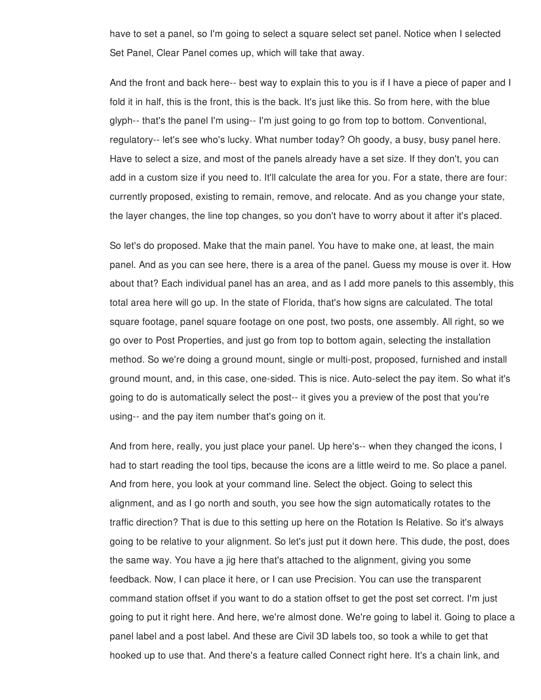have to set a panel, so I'm going to select a square select set panel. Notice when I selected Set Panel, Clear Panel comes up, which will take that away.

And the front and back here-- best way to explain this to you is if I have a piece of paper and I fold it in half, this is the front, this is the back. It's just like this. So from here, with the blue glyph-- that's the panel I'm using-- I'm just going to go from top to bottom. Conventional, regulatory-- let's see who's lucky. What number today? Oh goody, a busy, busy panel here. Have to select a size, and most of the panels already have a set size. If they don't, you can add in a custom size if you need to. It'll calculate the area for you. For a state, there are four: currently proposed, existing to remain, remove, and relocate. And as you change your state, the layer changes, the line top changes, so you don't have to worry about it after it's placed.

So let's do proposed. Make that the main panel. You have to make one, at least, the main panel. And as you can see here, there is a area of the panel. Guess my mouse is over it. How about that? Each individual panel has an area, and as I add more panels to this assembly, this total area here will go up. In the state of Florida, that's how signs are calculated. The total square footage, panel square footage on one post, two posts, one assembly. All right, so we go over to Post Properties, and just go from top to bottom again, selecting the installation method. So we're doing a ground mount, single or multi-post, proposed, furnished and install ground mount, and, in this case, one-sided. This is nice. Auto-select the pay item. So what it's going to do is automatically select the post-- it gives you a preview of the post that you're using-- and the pay item number that's going on it.

And from here, really, you just place your panel. Up here's-- when they changed the icons, I had to start reading the tool tips, because the icons are a little weird to me. So place a panel. And from here, you look at your command line. Select the object. Going to select this alignment, and as I go north and south, you see how the sign automatically rotates to the traffic direction? That is due to this setting up here on the Rotation Is Relative. So it's always going to be relative to your alignment. So let's just put it down here. This dude, the post, does the same way. You have a jig here that's attached to the alignment, giving you some feedback. Now, I can place it here, or I can use Precision. You can use the transparent command station offset if you want to do a station offset to get the post set correct. I'm just going to put it right here. And here, we're almost done. We're going to label it. Going to place a panel label and a post label. And these are Civil 3D labels too, so took a while to get that hooked up to use that. And there's a feature called Connect right here. It's a chain link, and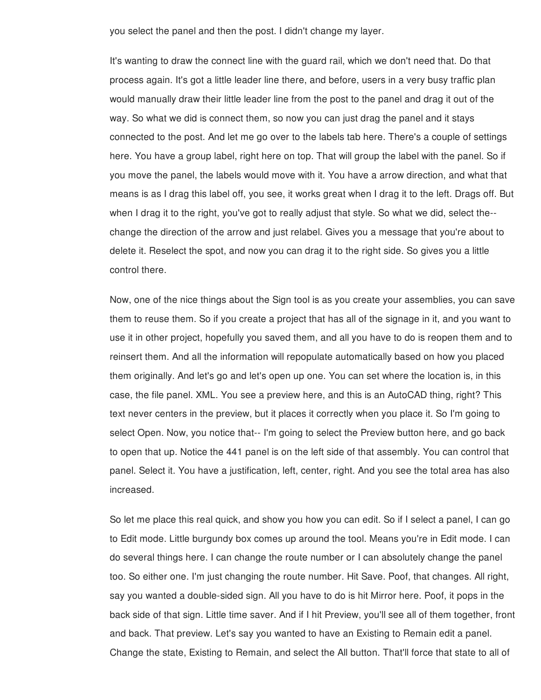you select the panel and then the post. I didn't change my layer.

It's wanting to draw the connect line with the guard rail, which we don't need that. Do that process again. It's got a little leader line there, and before, users in a very busy traffic plan would manually draw their little leader line from the post to the panel and drag it out of the way. So what we did is connect them, so now you can just drag the panel and it stays connected to the post. And let me go over to the labels tab here. There's a couple of settings here. You have a group label, right here on top. That will group the label with the panel. So if you move the panel, the labels would move with it. You have a arrow direction, and what that means is as I drag this label off, you see, it works great when I drag it to the left. Drags off. But when I drag it to the right, you've got to really adjust that style. So what we did, select the- change the direction of the arrow and just relabel. Gives you a message that you're about to delete it. Reselect the spot, and now you can drag it to the right side. So gives you a little control there.

Now, one of the nice things about the Sign tool is as you create your assemblies, you can save them to reuse them. So if you create a project that has all of the signage in it, and you want to use it in other project, hopefully you saved them, and all you have to do is reopen them and to reinsert them. And all the information will repopulate automatically based on how you placed them originally. And let's go and let's open up one. You can set where the location is, in this case, the file panel. XML. You see a preview here, and this is an AutoCAD thing, right? This text never centers in the preview, but it places it correctly when you place it. So I'm going to select Open. Now, you notice that-- I'm going to select the Preview button here, and go back to open that up. Notice the 441 panel is on the left side of that assembly. You can control that panel. Select it. You have a justification, left, center, right. And you see the total area has also increased.

So let me place this real quick, and show you how you can edit. So if I select a panel, I can go to Edit mode. Little burgundy box comes up around the tool. Means you're in Edit mode. I can do several things here. I can change the route number or I can absolutely change the panel too. So either one. I'm just changing the route number. Hit Save. Poof, that changes. All right, say you wanted a double-sided sign. All you have to do is hit Mirror here. Poof, it pops in the back side of that sign. Little time saver. And if I hit Preview, you'll see all of them together, front and back. That preview. Let's say you wanted to have an Existing to Remain edit a panel. Change the state, Existing to Remain, and select the All button. That'll force that state to all of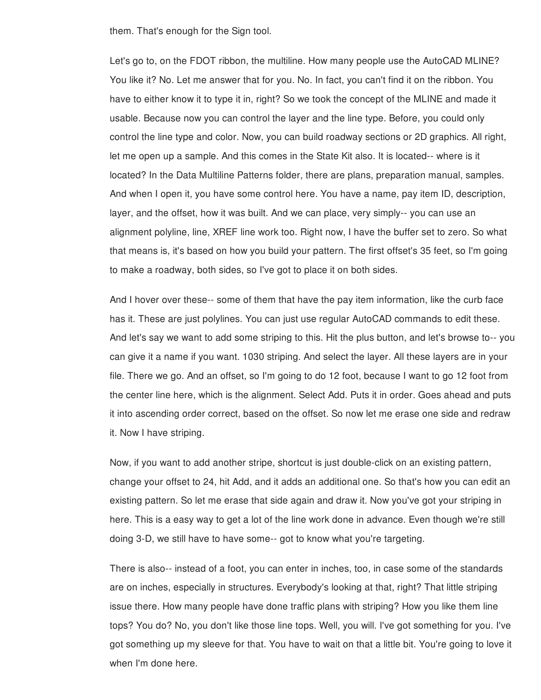them. That's enough for the Sign tool.

Let's go to, on the FDOT ribbon, the multiline. How many people use the AutoCAD MLINE? You like it? No. Let me answer that for you. No. In fact, you can't find it on the ribbon. You have to either know it to type it in, right? So we took the concept of the MLINE and made it usable. Because now you can control the layer and the line type. Before, you could only control the line type and color. Now, you can build roadway sections or 2D graphics. All right, let me open up a sample. And this comes in the State Kit also. It is located-- where is it located? In the Data Multiline Patterns folder, there are plans, preparation manual, samples. And when I open it, you have some control here. You have a name, pay item ID, description, layer, and the offset, how it was built. And we can place, very simply-- you can use an alignment polyline, line, XREF line work too. Right now, I have the buffer set to zero. So what that means is, it's based on how you build your pattern. The first offset's 35 feet, so I'm going to make a roadway, both sides, so I've got to place it on both sides.

And I hover over these-- some of them that have the pay item information, like the curb face has it. These are just polylines. You can just use regular AutoCAD commands to edit these. And let's say we want to add some striping to this. Hit the plus button, and let's browse to-- you can give it a name if you want. 1030 striping. And select the layer. All these layers are in your file. There we go. And an offset, so I'm going to do 12 foot, because I want to go 12 foot from the center line here, which is the alignment. Select Add. Puts it in order. Goes ahead and puts it into ascending order correct, based on the offset. So now let me erase one side and redraw it. Now I have striping.

Now, if you want to add another stripe, shortcut is just double-click on an existing pattern, change your offset to 24, hit Add, and it adds an additional one. So that's how you can edit an existing pattern. So let me erase that side again and draw it. Now you've got your striping in here. This is a easy way to get a lot of the line work done in advance. Even though we're still doing 3-D, we still have to have some-- got to know what you're targeting.

There is also-- instead of a foot, you can enter in inches, too, in case some of the standards are on inches, especially in structures. Everybody's looking at that, right? That little striping issue there. How many people have done traffic plans with striping? How you like them line tops? You do? No, you don't like those line tops. Well, you will. I've got something for you. I've got something up my sleeve for that. You have to wait on that a little bit. You're going to love it when I'm done here.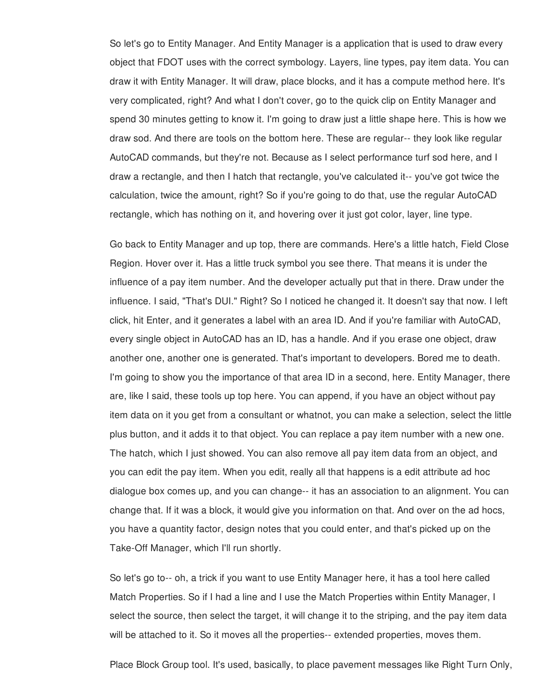So let's go to Entity Manager. And Entity Manager is a application that is used to draw every object that FDOT uses with the correct symbology. Layers, line types, pay item data. You can draw it with Entity Manager. It will draw, place blocks, and it has a compute method here. It's very complicated, right? And what I don't cover, go to the quick clip on Entity Manager and spend 30 minutes getting to know it. I'm going to draw just a little shape here. This is how we draw sod. And there are tools on the bottom here. These are regular-- they look like regular AutoCAD commands, but they're not. Because as I select performance turf sod here, and I draw a rectangle, and then I hatch that rectangle, you've calculated it-- you've got twice the calculation, twice the amount, right? So if you're going to do that, use the regular AutoCAD rectangle, which has nothing on it, and hovering over it just got color, layer, line type.

Go back to Entity Manager and up top, there are commands. Here's a little hatch, Field Close Region. Hover over it. Has a little truck symbol you see there. That means it is under the influence of a pay item number. And the developer actually put that in there. Draw under the influence. I said, "That's DUI." Right? So I noticed he changed it. It doesn't say that now. I left click, hit Enter, and it generates a label with an area ID. And if you're familiar with AutoCAD, every single object in AutoCAD has an ID, has a handle. And if you erase one object, draw another one, another one is generated. That's important to developers. Bored me to death. I'm going to show you the importance of that area ID in a second, here. Entity Manager, there are, like I said, these tools up top here. You can append, if you have an object without pay item data on it you get from a consultant or whatnot, you can make a selection, select the little plus button, and it adds it to that object. You can replace a pay item number with a new one. The hatch, which I just showed. You can also remove all pay item data from an object, and you can edit the pay item. When you edit, really all that happens is a edit attribute ad hoc dialogue box comes up, and you can change-- it has an association to an alignment. You can change that. If it was a block, it would give you information on that. And over on the ad hocs, you have a quantity factor, design notes that you could enter, and that's picked up on the Take-Off Manager, which I'll run shortly.

So let's go to-- oh, a trick if you want to use Entity Manager here, it has a tool here called Match Properties. So if I had a line and I use the Match Properties within Entity Manager, I select the source, then select the target, it will change it to the striping, and the pay item data will be attached to it. So it moves all the properties-- extended properties, moves them.

Place Block Group tool. It's used, basically, to place pavement messages like Right Turn Only,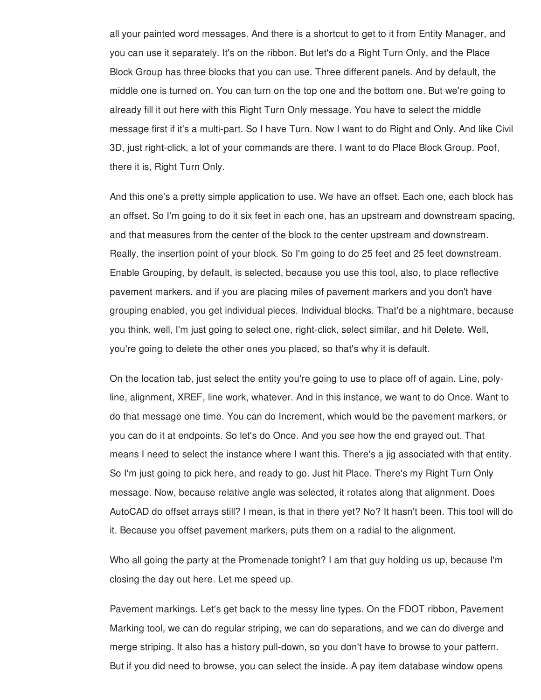all your painted word messages. And there is a shortcut to get to it from Entity Manager, and you can use it separately. It's on the ribbon. But let's do a Right Turn Only, and the Place Block Group has three blocks that you can use. Three different panels. And by default, the middle one is turned on. You can turn on the top one and the bottom one. But we're going to already fill it out here with this Right Turn Only message. You have to select the middle message first if it's a multi-part. So I have Turn. Now I want to do Right and Only. And like Civil 3D, just right-click, a lot of your commands are there. I want to do Place Block Group. Poof, there it is, Right Turn Only.

And this one's a pretty simple application to use. We have an offset. Each one, each block has an offset. So I'm going to do it six feet in each one, has an upstream and downstream spacing, and that measures from the center of the block to the center upstream and downstream. Really, the insertion point of your block. So I'm going to do 25 feet and 25 feet downstream. Enable Grouping, by default, is selected, because you use this tool, also, to place reflective pavement markers, and if you are placing miles of pavement markers and you don't have grouping enabled, you get individual pieces. Individual blocks. That'd be a nightmare, because you think, well, I'm just going to select one, right-click, select similar, and hit Delete. Well, you're going to delete the other ones you placed, so that's why it is default.

On the location tab, just select the entity you're going to use to place off of again. Line, polyline, alignment, XREF, line work, whatever. And in this instance, we want to do Once. Want to do that message one time. You can do Increment, which would be the pavement markers, or you can do it at endpoints. So let's do Once. And you see how the end grayed out. That means I need to select the instance where I want this. There's a jig associated with that entity. So I'm just going to pick here, and ready to go. Just hit Place. There's my Right Turn Only message. Now, because relative angle was selected, it rotates along that alignment. Does AutoCAD do offset arrays still? I mean, is that in there yet? No? It hasn't been. This tool will do it. Because you offset pavement markers, puts them on a radial to the alignment.

Who all going the party at the Promenade tonight? I am that guy holding us up, because I'm closing the day out here. Let me speed up.

Pavement markings. Let's get back to the messy line types. On the FDOT ribbon, Pavement Marking tool, we can do regular striping, we can do separations, and we can do diverge and merge striping. It also has a history pull-down, so you don't have to browse to your pattern. But if you did need to browse, you can select the inside. A pay item database window opens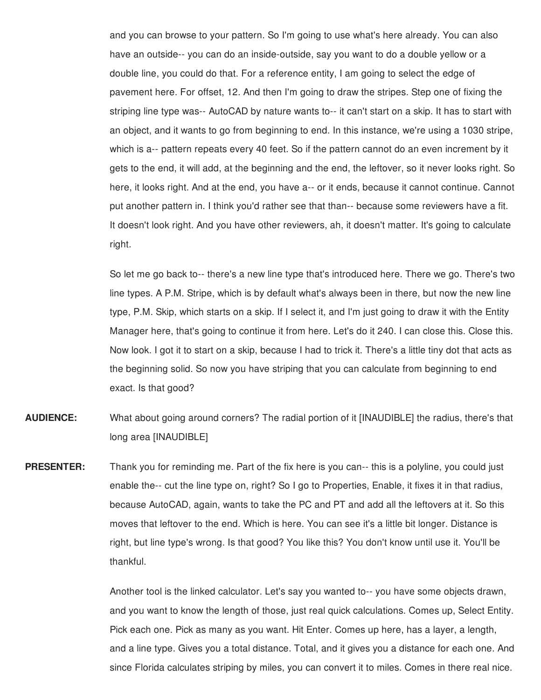and you can browse to your pattern. So I'm going to use what's here already. You can also have an outside-- you can do an inside-outside, say you want to do a double yellow or a double line, you could do that. For a reference entity, I am going to select the edge of pavement here. For offset, 12. And then I'm going to draw the stripes. Step one of fixing the striping line type was-- AutoCAD by nature wants to-- it can't start on a skip. It has to start with an object, and it wants to go from beginning to end. In this instance, we're using a 1030 stripe, which is a-- pattern repeats every 40 feet. So if the pattern cannot do an even increment by it gets to the end, it will add, at the beginning and the end, the leftover, so it never looks right. So here, it looks right. And at the end, you have a-- or it ends, because it cannot continue. Cannot put another pattern in. I think you'd rather see that than-- because some reviewers have a fit. It doesn't look right. And you have other reviewers, ah, it doesn't matter. It's going to calculate right.

So let me go back to-- there's a new line type that's introduced here. There we go. There's two line types. A P.M. Stripe, which is by default what's always been in there, but now the new line type, P.M. Skip, which starts on a skip. If I select it, and I'm just going to draw it with the Entity Manager here, that's going to continue it from here. Let's do it 240. I can close this. Close this. Now look. I got it to start on a skip, because I had to trick it. There's a little tiny dot that acts as the beginning solid. So now you have striping that you can calculate from beginning to end exact. Is that good?

- **AUDIENCE:** What about going around corners? The radial portion of it [INAUDIBLE] the radius, there's that long area [INAUDIBLE]
- **PRESENTER:** Thank you for reminding me. Part of the fix here is you can-- this is a polyline, you could just enable the-- cut the line type on, right? So I go to Properties, Enable, it fixes it in that radius, because AutoCAD, again, wants to take the PC and PT and add all the leftovers at it. So this moves that leftover to the end. Which is here. You can see it's a little bit longer. Distance is right, but line type's wrong. Is that good? You like this? You don't know until use it. You'll be thankful.

Another tool is the linked calculator. Let's say you wanted to-- you have some objects drawn, and you want to know the length of those, just real quick calculations. Comes up, Select Entity. Pick each one. Pick as many as you want. Hit Enter. Comes up here, has a layer, a length, and a line type. Gives you a total distance. Total, and it gives you a distance for each one. And since Florida calculates striping by miles, you can convert it to miles. Comes in there real nice.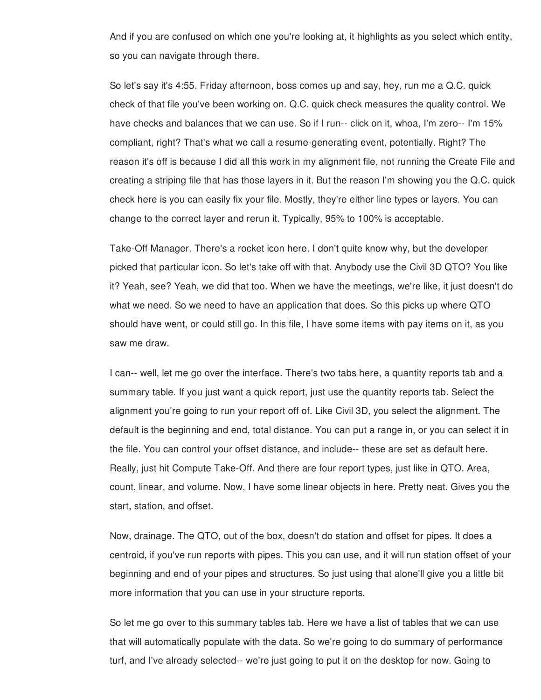And if you are confused on which one you're looking at, it highlights as you select which entity, so you can navigate through there.

So let's say it's 4:55, Friday afternoon, boss comes up and say, hey, run me a Q.C. quick check of that file you've been working on. Q.C. quick check measures the quality control. We have checks and balances that we can use. So if I run-- click on it, whoa, I'm zero-- I'm 15% compliant, right? That's what we call a resume-generating event, potentially. Right? The reason it's off is because I did all this work in my alignment file, not running the Create File and creating a striping file that has those layers in it. But the reason I'm showing you the Q.C. quick check here is you can easily fix your file. Mostly, they're either line types or layers. You can change to the correct layer and rerun it. Typically, 95% to 100% is acceptable.

Take-Off Manager. There's a rocket icon here. I don't quite know why, but the developer picked that particular icon. So let's take off with that. Anybody use the Civil 3D QTO? You like it? Yeah, see? Yeah, we did that too. When we have the meetings, we're like, it just doesn't do what we need. So we need to have an application that does. So this picks up where QTO should have went, or could still go. In this file, I have some items with pay items on it, as you saw me draw.

I can-- well, let me go over the interface. There's two tabs here, a quantity reports tab and a summary table. If you just want a quick report, just use the quantity reports tab. Select the alignment you're going to run your report off of. Like Civil 3D, you select the alignment. The default is the beginning and end, total distance. You can put a range in, or you can select it in the file. You can control your offset distance, and include-- these are set as default here. Really, just hit Compute Take-Off. And there are four report types, just like in QTO. Area, count, linear, and volume. Now, I have some linear objects in here. Pretty neat. Gives you the start, station, and offset.

Now, drainage. The QTO, out of the box, doesn't do station and offset for pipes. It does a centroid, if you've run reports with pipes. This you can use, and it will run station offset of your beginning and end of your pipes and structures. So just using that alone'll give you a little bit more information that you can use in your structure reports.

So let me go over to this summary tables tab. Here we have a list of tables that we can use that will automatically populate with the data. So we're going to do summary of performance turf, and I've already selected-- we're just going to put it on the desktop for now. Going to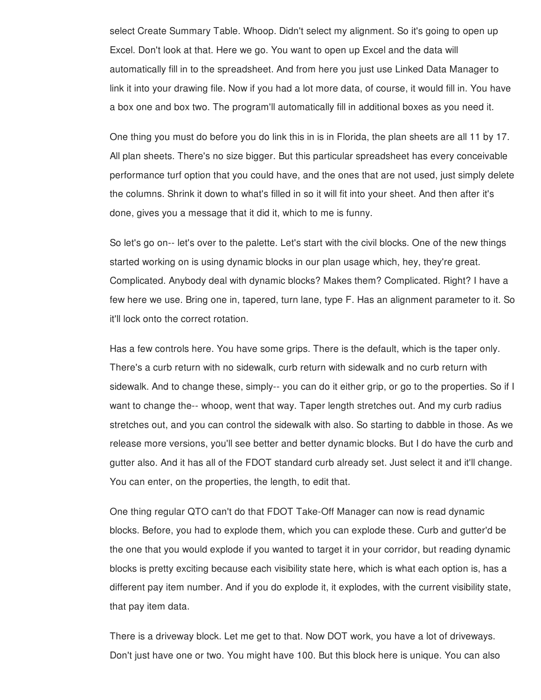select Create Summary Table. Whoop. Didn't select my alignment. So it's going to open up Excel. Don't look at that. Here we go. You want to open up Excel and the data will automatically fill in to the spreadsheet. And from here you just use Linked Data Manager to link it into your drawing file. Now if you had a lot more data, of course, it would fill in. You have a box one and box two. The program'll automatically fill in additional boxes as you need it.

One thing you must do before you do link this in is in Florida, the plan sheets are all 11 by 17. All plan sheets. There's no size bigger. But this particular spreadsheet has every conceivable performance turf option that you could have, and the ones that are not used, just simply delete the columns. Shrink it down to what's filled in so it will fit into your sheet. And then after it's done, gives you a message that it did it, which to me is funny.

So let's go on-- let's over to the palette. Let's start with the civil blocks. One of the new things started working on is using dynamic blocks in our plan usage which, hey, they're great. Complicated. Anybody deal with dynamic blocks? Makes them? Complicated. Right? I have a few here we use. Bring one in, tapered, turn lane, type F. Has an alignment parameter to it. So it'll lock onto the correct rotation.

Has a few controls here. You have some grips. There is the default, which is the taper only. There's a curb return with no sidewalk, curb return with sidewalk and no curb return with sidewalk. And to change these, simply-- you can do it either grip, or go to the properties. So if I want to change the-- whoop, went that way. Taper length stretches out. And my curb radius stretches out, and you can control the sidewalk with also. So starting to dabble in those. As we release more versions, you'll see better and better dynamic blocks. But I do have the curb and gutter also. And it has all of the FDOT standard curb already set. Just select it and it'll change. You can enter, on the properties, the length, to edit that.

One thing regular QTO can't do that FDOT Take-Off Manager can now is read dynamic blocks. Before, you had to explode them, which you can explode these. Curb and gutter'd be the one that you would explode if you wanted to target it in your corridor, but reading dynamic blocks is pretty exciting because each visibility state here, which is what each option is, has a different pay item number. And if you do explode it, it explodes, with the current visibility state, that pay item data.

There is a driveway block. Let me get to that. Now DOT work, you have a lot of driveways. Don't just have one or two. You might have 100. But this block here is unique. You can also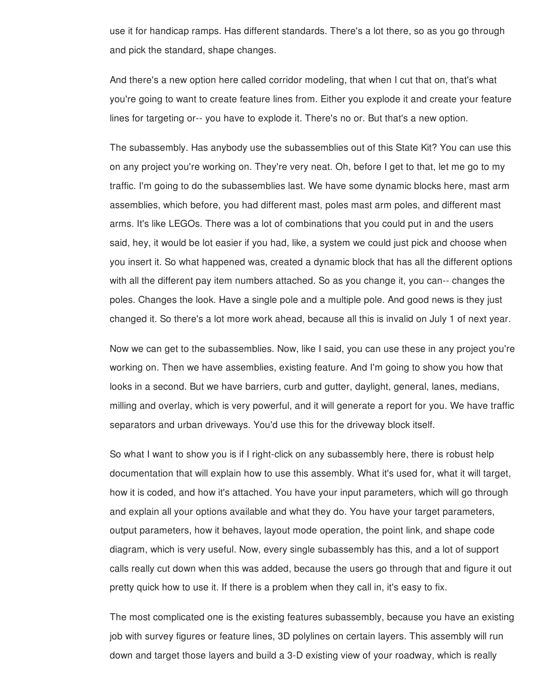use it for handicap ramps. Has different standards. There's a lot there, so as you go through and pick the standard, shape changes.

And there's a new option here called corridor modeling, that when I cut that on, that's what you're going to want to create feature lines from. Either you explode it and create your feature lines for targeting or-- you have to explode it. There's no or. But that's a new option.

The subassembly. Has anybody use the subassemblies out of this State Kit? You can use this on any project you're working on. They're very neat. Oh, before I get to that, let me go to my traffic. I'm going to do the subassemblies last. We have some dynamic blocks here, mast arm assemblies, which before, you had different mast, poles mast arm poles, and different mast arms. It's like LEGOs. There was a lot of combinations that you could put in and the users said, hey, it would be lot easier if you had, like, a system we could just pick and choose when you insert it. So what happened was, created a dynamic block that has all the different options with all the different pay item numbers attached. So as you change it, you can-- changes the poles. Changes the look. Have a single pole and a multiple pole. And good news is they just changed it. So there's a lot more work ahead, because all this is invalid on July 1 of next year.

Now we can get to the subassemblies. Now, like I said, you can use these in any project you're working on. Then we have assemblies, existing feature. And I'm going to show you how that looks in a second. But we have barriers, curb and gutter, daylight, general, lanes, medians, milling and overlay, which is very powerful, and it will generate a report for you. We have traffic separators and urban driveways. You'd use this for the driveway block itself.

So what I want to show you is if I right-click on any subassembly here, there is robust help documentation that will explain how to use this assembly. What it's used for, what it will target, how it is coded, and how it's attached. You have your input parameters, which will go through and explain all your options available and what they do. You have your target parameters, output parameters, how it behaves, layout mode operation, the point link, and shape code diagram, which is very useful. Now, every single subassembly has this, and a lot of support calls really cut down when this was added, because the users go through that and figure it out pretty quick how to use it. If there is a problem when they call in, it's easy to fix.

The most complicated one is the existing features subassembly, because you have an existing job with survey figures or feature lines, 3D polylines on certain layers. This assembly will run down and target those layers and build a 3-D existing view of your roadway, which is really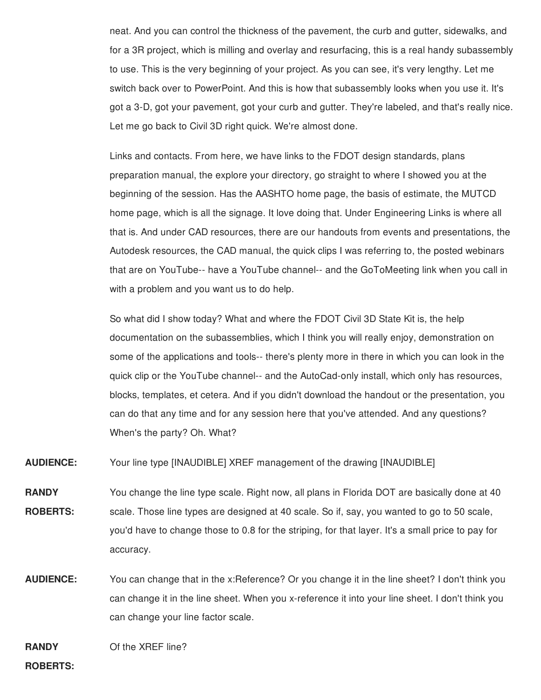neat. And you can control the thickness of the pavement, the curb and gutter, sidewalks, and for a 3R project, which is milling and overlay and resurfacing, this is a real handy subassembly to use. This is the very beginning of your project. As you can see, it's very lengthy. Let me switch back over to PowerPoint. And this is how that subassembly looks when you use it. It's got a 3-D, got your pavement, got your curb and gutter. They're labeled, and that's really nice. Let me go back to Civil 3D right quick. We're almost done.

Links and contacts. From here, we have links to the FDOT design standards, plans preparation manual, the explore your directory, go straight to where I showed you at the beginning of the session. Has the AASHTO home page, the basis of estimate, the MUTCD home page, which is all the signage. It love doing that. Under Engineering Links is where all that is. And under CAD resources, there are our handouts from events and presentations, the Autodesk resources, the CAD manual, the quick clips I was referring to, the posted webinars that are on YouTube-- have a YouTube channel-- and the GoToMeeting link when you call in with a problem and you want us to do help.

So what did I show today? What and where the FDOT Civil 3D State Kit is, the help documentation on the subassemblies, which I think you will really enjoy, demonstration on some of the applications and tools-- there's plenty more in there in which you can look in the quick clip or the YouTube channel-- and the AutoCad-only install, which only has resources, blocks, templates, et cetera. And if you didn't download the handout or the presentation, you can do that any time and for any session here that you've attended. And any questions? When's the party? Oh. What?

**AUDIENCE:** Your line type [INAUDIBLE] XREF management of the drawing [INAUDIBLE]

**RANDY ROBERTS:** You change the line type scale. Right now, all plans in Florida DOT are basically done at 40 scale. Those line types are designed at 40 scale. So if, say, you wanted to go to 50 scale, you'd have to change those to 0.8 for the striping, for that layer. It's a small price to pay for accuracy.

**AUDIENCE:** You can change that in the x:Reference? Or you change it in the line sheet? I don't think you can change it in the line sheet. When you x-reference it into your line sheet. I don't think you can change your line factor scale.

**RANDY** Of the XREF line?

**ROBERTS:**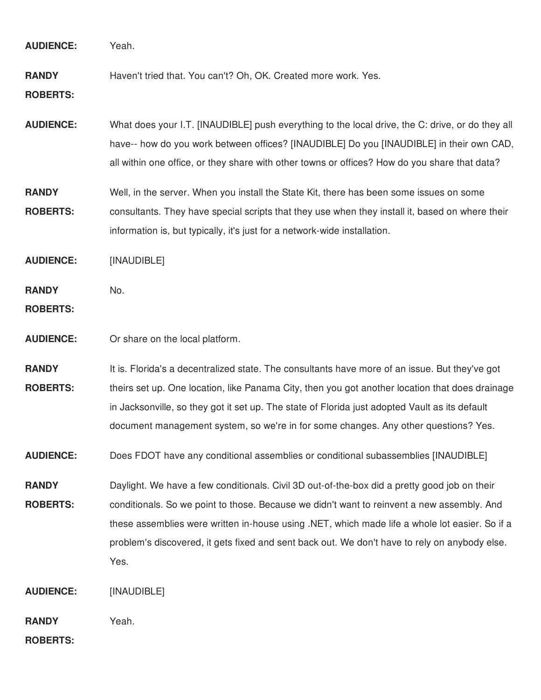| <b>AUDIENCE:</b>                | Yeah.                                                                                                                                                                                                                                                                                                                                                                                                 |
|---------------------------------|-------------------------------------------------------------------------------------------------------------------------------------------------------------------------------------------------------------------------------------------------------------------------------------------------------------------------------------------------------------------------------------------------------|
| <b>RANDY</b><br><b>ROBERTS:</b> | Haven't tried that. You can't? Oh, OK. Created more work. Yes.                                                                                                                                                                                                                                                                                                                                        |
| <b>AUDIENCE:</b>                | What does your I.T. [INAUDIBLE] push everything to the local drive, the C: drive, or do they all<br>have-- how do you work between offices? [INAUDIBLE] Do you [INAUDIBLE] in their own CAD,<br>all within one office, or they share with other towns or offices? How do you share that data?                                                                                                         |
| <b>RANDY</b><br><b>ROBERTS:</b> | Well, in the server. When you install the State Kit, there has been some issues on some<br>consultants. They have special scripts that they use when they install it, based on where their<br>information is, but typically, it's just for a network-wide installation.                                                                                                                               |
| <b>AUDIENCE:</b>                | [INAUDIBLE]                                                                                                                                                                                                                                                                                                                                                                                           |
| <b>RANDY</b><br><b>ROBERTS:</b> | No.                                                                                                                                                                                                                                                                                                                                                                                                   |
| <b>AUDIENCE:</b>                | Or share on the local platform.                                                                                                                                                                                                                                                                                                                                                                       |
| <b>RANDY</b><br><b>ROBERTS:</b> | It is. Florida's a decentralized state. The consultants have more of an issue. But they've got<br>theirs set up. One location, like Panama City, then you got another location that does drainage<br>in Jacksonville, so they got it set up. The state of Florida just adopted Vault as its default<br>document management system, so we're in for some changes. Any other questions? Yes.            |
| <b>AUDIENCE:</b>                | Does FDOT have any conditional assemblies or conditional subassemblies [INAUDIBLE]                                                                                                                                                                                                                                                                                                                    |
| <b>RANDY</b><br><b>ROBERTS:</b> | Daylight. We have a few conditionals. Civil 3D out-of-the-box did a pretty good job on their<br>conditionals. So we point to those. Because we didn't want to reinvent a new assembly. And<br>these assemblies were written in-house using .NET, which made life a whole lot easier. So if a<br>problem's discovered, it gets fixed and sent back out. We don't have to rely on anybody else.<br>Yes. |
| <b>AUDIENCE:</b>                | [INAUDIBLE]                                                                                                                                                                                                                                                                                                                                                                                           |
| <b>RANDY</b><br><b>ROBERTS:</b> | Yeah.                                                                                                                                                                                                                                                                                                                                                                                                 |